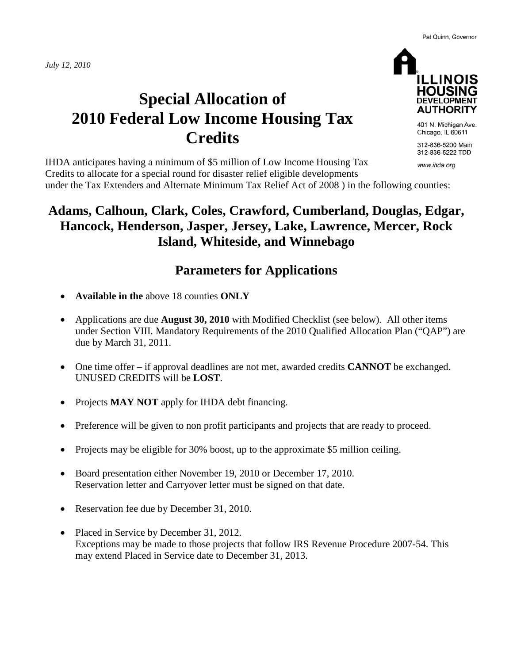*July 12, 2010*



**ILLINOIS HOUSII** DEVELOPMENT **AUTHORITY** 401 N. Michigan Ave.

Chicago, IL 60611

312-836-5200 Main 312-836-5222 TDD

www.ihda.org

IHDA anticipates having a minimum of \$5 million of Low Income Housing Tax Credits to allocate for a special round for disaster relief eligible developments under the Tax Extenders and Alternate Minimum Tax Relief Act of 2008 ) in the following counties:

### **Adams, Calhoun, Clark, Coles, Crawford, Cumberland, Douglas, Edgar, Hancock, Henderson, Jasper, Jersey, Lake, Lawrence, Mercer, Rock Island, Whiteside, and Winnebago**

### **Parameters for Applications**

- **Available in the** above 18 counties **ONLY**
- Applications are due **August 30, 2010** with Modified Checklist (see below). All other items under Section VIII. Mandatory Requirements of the 2010 Qualified Allocation Plan ("QAP") are due by March 31, 2011.
- One time offer if approval deadlines are not met, awarded credits **CANNOT** be exchanged. UNUSED CREDITS will be **LOST**.
- Projects **MAY NOT** apply for IHDA debt financing.
- Preference will be given to non profit participants and projects that are ready to proceed.
- Projects may be eligible for 30% boost, up to the approximate \$5 million ceiling.
- Board presentation either November 19, 2010 or December 17, 2010. Reservation letter and Carryover letter must be signed on that date.
- Reservation fee due by December 31, 2010.
- Placed in Service by December 31, 2012. Exceptions may be made to those projects that follow IRS Revenue Procedure 2007-54. This may extend Placed in Service date to December 31, 2013.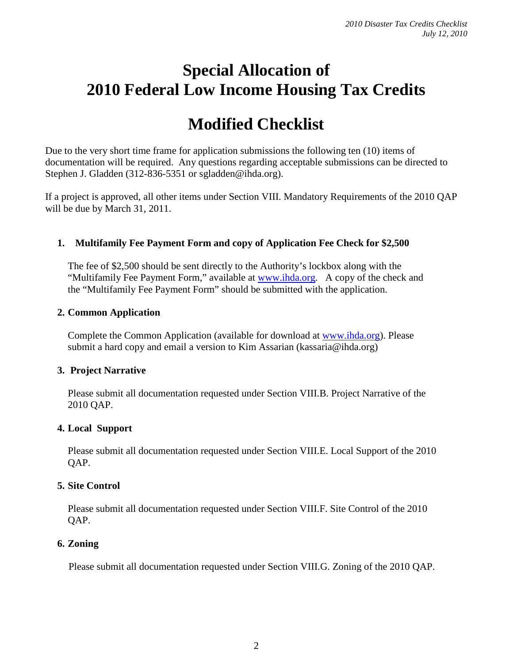## **Special Allocation of 2010 Federal Low Income Housing Tax Credits**

# **Modified Checklist**

Due to the very short time frame for application submissions the following ten (10) items of documentation will be required. Any questions regarding acceptable submissions can be directed to Stephen J. Gladden (312-836-5351 or sgladden@ihda.org).

If a project is approved, all other items under Section VIII. Mandatory Requirements of the 2010 QAP will be due by March 31, 2011.

#### **1. Multifamily Fee Payment Form and copy of Application Fee Check for \$2,500**

The fee of \$2,500 should be sent directly to the Authority's lockbox along with the "Multifamily Fee Payment Form," available at [www.ihda.org.](http://www.ihda.org/) A copy of the check and the "Multifamily Fee Payment Form" should be submitted with the application.

#### **2. Common Application**

Complete the Common Application (available for download at [www.ihda.org\)](http://www.ihda.org/). Please submit a hard copy and email a version to Kim Assarian (kassaria@ihda.org)

#### **3. Project Narrative**

Please submit all documentation requested under Section VIII.B. Project Narrative of the 2010 QAP.

#### **4. Local Support**

Please submit all documentation requested under Section VIII.E. Local Support of the 2010 QAP.

#### **5. Site Control**

Please submit all documentation requested under Section VIII.F. Site Control of the 2010 QAP.

#### **6. Zoning**

Please submit all documentation requested under Section VIII.G. Zoning of the 2010 QAP.